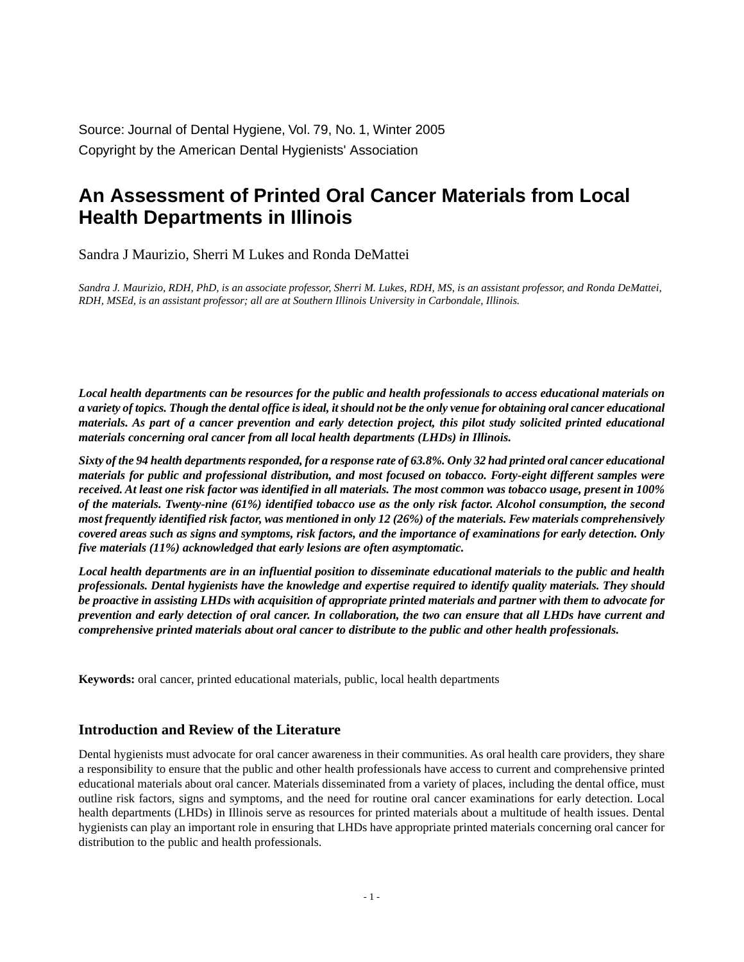Source: Journal of Dental Hygiene, Vol. 79, No. 1, Winter 2005 Copyright by the American Dental Hygienists' Association

# **An Assessment of Printed Oral Cancer Materials from Local Health Departments in Illinois**

Sandra J Maurizio, Sherri M Lukes and Ronda DeMattei

*Sandra J. Maurizio, RDH, PhD, is an associate professor, Sherri M. Lukes, RDH, MS, is an assistant professor, and Ronda DeMattei, RDH, MSEd, is an assistant professor; all are at Southern Illinois University in Carbondale, Illinois.*

*Local health departments can be resources for the public and health professionals to access educational materials on a variety of topics. Though the dental office is ideal, it should not be the only venue for obtaining oral cancer educational materials. As part of a cancer prevention and early detection project, this pilot study solicited printed educational materials concerning oral cancer from all local health departments (LHDs) in Illinois.*

*Sixty of the 94 health departments responded, for a response rate of 63.8%. Only 32 had printed oral cancer educational materials for public and professional distribution, and most focused on tobacco. Forty-eight different samples were received. At least one risk factor was identified in all materials. The most common was tobacco usage, present in 100% of the materials. Twenty-nine (61%) identified tobacco use as the only risk factor. Alcohol consumption, the second most frequently identified risk factor, was mentioned in only 12 (26%) of the materials. Few materials comprehensively covered areas such as signs and symptoms, risk factors, and the importance of examinations for early detection. Only five materials (11%) acknowledged that early lesions are often asymptomatic.*

*Local health departments are in an influential position to disseminate educational materials to the public and health professionals. Dental hygienists have the knowledge and expertise required to identify quality materials. They should be proactive in assisting LHDs with acquisition of appropriate printed materials and partner with them to advocate for prevention and early detection of oral cancer. In collaboration, the two can ensure that all LHDs have current and comprehensive printed materials about oral cancer to distribute to the public and other health professionals.*

**Keywords:** oral cancer, printed educational materials, public, local health departments

#### **Introduction and Review of the Literature**

Dental hygienists must advocate for oral cancer awareness in their communities. As oral health care providers, they share a responsibility to ensure that the public and other health professionals have access to current and comprehensive printed educational materials about oral cancer. Materials disseminated from a variety of places, including the dental office, must outline risk factors, signs and symptoms, and the need for routine oral cancer examinations for early detection. Local health departments (LHDs) in Illinois serve as resources for printed materials about a multitude of health issues. Dental hygienists can play an important role in ensuring that LHDs have appropriate printed materials concerning oral cancer for distribution to the public and health professionals.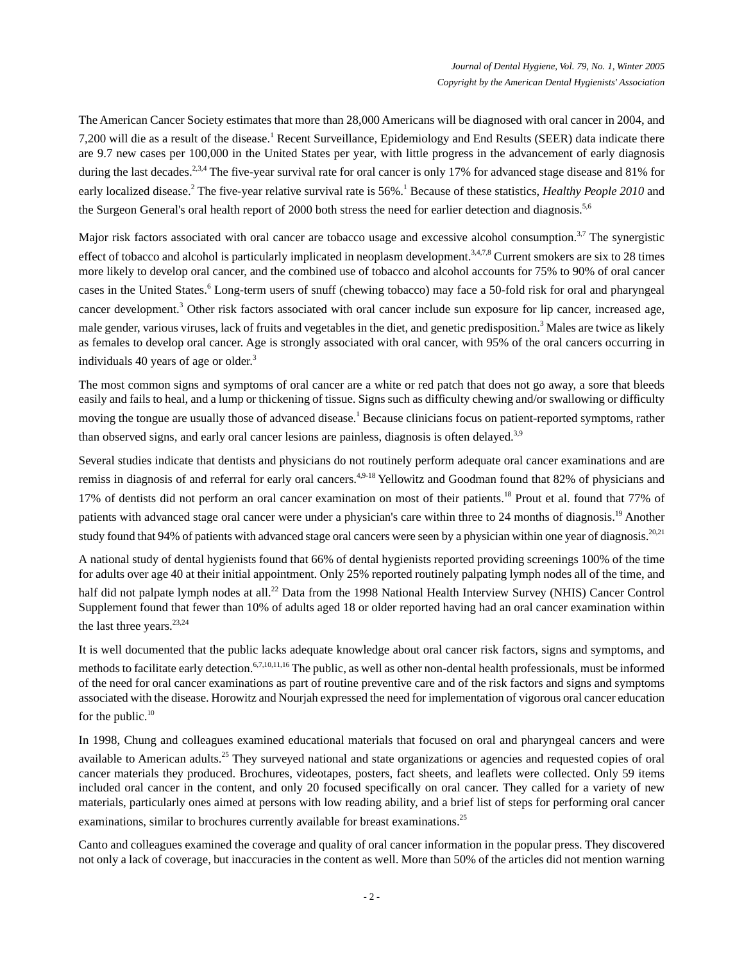The American Cancer Society estimates that more than 28,000 Americans will be diagnosed with oral cancer in 2004, and 7,200 will die as a result of the disease.<sup>1</sup> Recent Surveillance, Epidemiology and End Results (SEER) data indicate there are 9.7 new cases per 100,000 in the United States per year, with little progress in the advancement of early diagnosis during the last decades.<sup>2,3,4</sup> The five-year survival rate for oral cancer is only 17% for advanced stage disease and 81% for early localized disease.<sup>2</sup> The five-year relative survival rate is 56%.<sup>1</sup> Because of these statistics, *Healthy People 2010* and the Surgeon General's oral health report of 2000 both stress the need for earlier detection and diagnosis.<sup>5,6</sup>

Major risk factors associated with oral cancer are tobacco usage and excessive alcohol consumption. $3,7$  The synergistic effect of tobacco and alcohol is particularly implicated in neoplasm development.<sup>3,4,7,8</sup> Current smokers are six to 28 times more likely to develop oral cancer, and the combined use of tobacco and alcohol accounts for 75% to 90% of oral cancer cases in the United States.<sup>6</sup> Long-term users of snuff (chewing tobacco) may face a 50-fold risk for oral and pharyngeal cancer development.<sup>3</sup> Other risk factors associated with oral cancer include sun exposure for lip cancer, increased age, male gender, various viruses, lack of fruits and vegetables in the diet, and genetic predisposition.<sup>3</sup> Males are twice as likely as females to develop oral cancer. Age is strongly associated with oral cancer, with 95% of the oral cancers occurring in individuals 40 years of age or older.<sup>3</sup>

The most common signs and symptoms of oral cancer are a white or red patch that does not go away, a sore that bleeds easily and fails to heal, and a lump or thickening of tissue. Signs such as difficulty chewing and/or swallowing or difficulty moving the tongue are usually those of advanced disease.<sup>1</sup> Because clinicians focus on patient-reported symptoms, rather than observed signs, and early oral cancer lesions are painless, diagnosis is often delayed.<sup>3,9</sup>

Several studies indicate that dentists and physicians do not routinely perform adequate oral cancer examinations and are remiss in diagnosis of and referral for early oral cancers.<sup>4,9-18</sup> Yellowitz and Goodman found that 82% of physicians and 17% of dentists did not perform an oral cancer examination on most of their patients.<sup>18</sup> Prout et al. found that 77% of patients with advanced stage oral cancer were under a physician's care within three to 24 months of diagnosis.<sup>19</sup> Another study found that 94% of patients with advanced stage oral cancers were seen by a physician within one year of diagnosis.<sup>20,21</sup>

A national study of dental hygienists found that 66% of dental hygienists reported providing screenings 100% of the time for adults over age 40 at their initial appointment. Only 25% reported routinely palpating lymph nodes all of the time, and half did not palpate lymph nodes at all.<sup>22</sup> Data from the 1998 National Health Interview Survey (NHIS) Cancer Control Supplement found that fewer than 10% of adults aged 18 or older reported having had an oral cancer examination within the last three years. $23,24$ 

It is well documented that the public lacks adequate knowledge about oral cancer risk factors, signs and symptoms, and methods to facilitate early detection.<sup>6,7,10,11,16</sup> The public, as well as other non-dental health professionals, must be informed of the need for oral cancer examinations as part of routine preventive care and of the risk factors and signs and symptoms associated with the disease. Horowitz and Nourjah expressed the need for implementation of vigorous oral cancer education for the public. $10$ 

In 1998, Chung and colleagues examined educational materials that focused on oral and pharyngeal cancers and were available to American adults.<sup>25</sup> They surveyed national and state organizations or agencies and requested copies of oral cancer materials they produced. Brochures, videotapes, posters, fact sheets, and leaflets were collected. Only 59 items included oral cancer in the content, and only 20 focused specifically on oral cancer. They called for a variety of new materials, particularly ones aimed at persons with low reading ability, and a brief list of steps for performing oral cancer examinations, similar to brochures currently available for breast examinations.<sup>25</sup>

Canto and colleagues examined the coverage and quality of oral cancer information in the popular press. They discovered not only a lack of coverage, but inaccuracies in the content as well. More than 50% of the articles did not mention warning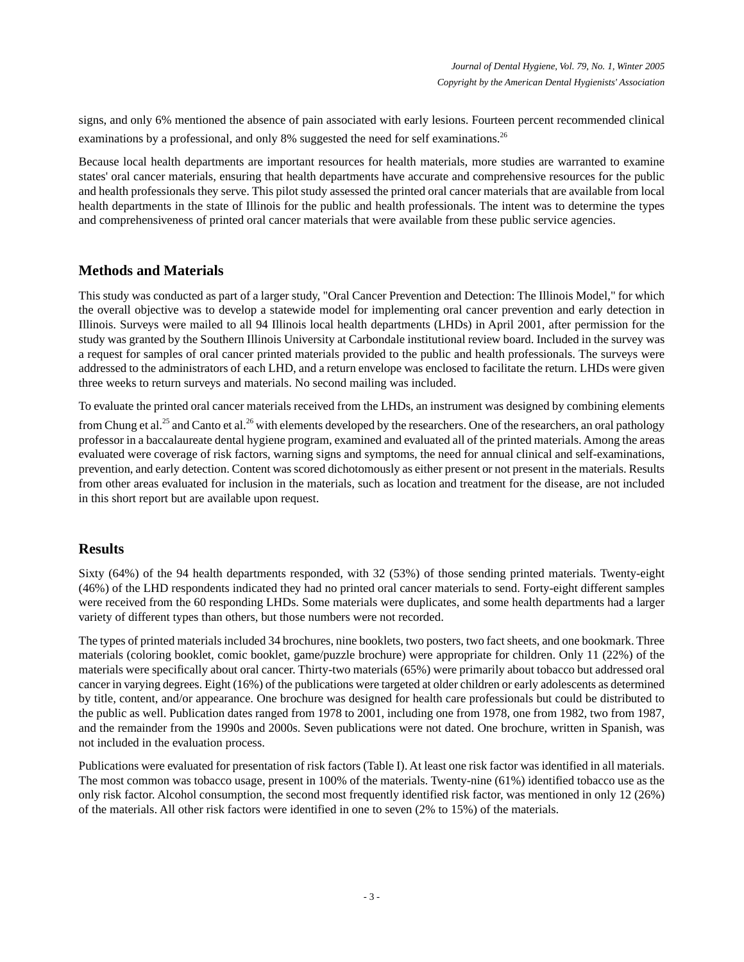signs, and only 6% mentioned the absence of pain associated with early lesions. Fourteen percent recommended clinical examinations by a professional, and only 8% suggested the need for self examinations.<sup>26</sup>

Because local health departments are important resources for health materials, more studies are warranted to examine states' oral cancer materials, ensuring that health departments have accurate and comprehensive resources for the public and health professionals they serve. This pilot study assessed the printed oral cancer materials that are available from local health departments in the state of Illinois for the public and health professionals. The intent was to determine the types and comprehensiveness of printed oral cancer materials that were available from these public service agencies.

# **Methods and Materials**

This study was conducted as part of a larger study, "Oral Cancer Prevention and Detection: The Illinois Model," for which the overall objective was to develop a statewide model for implementing oral cancer prevention and early detection in Illinois. Surveys were mailed to all 94 Illinois local health departments (LHDs) in April 2001, after permission for the study was granted by the Southern Illinois University at Carbondale institutional review board. Included in the survey was a request for samples of oral cancer printed materials provided to the public and health professionals. The surveys were addressed to the administrators of each LHD, and a return envelope was enclosed to facilitate the return. LHDs were given three weeks to return surveys and materials. No second mailing was included.

To evaluate the printed oral cancer materials received from the LHDs, an instrument was designed by combining elements from Chung et al.<sup>25</sup> and Canto et al.<sup>26</sup> with elements developed by the researchers. One of the researchers, an oral pathology

professor in a baccalaureate dental hygiene program, examined and evaluated all of the printed materials. Among the areas evaluated were coverage of risk factors, warning signs and symptoms, the need for annual clinical and self-examinations, prevention, and early detection. Content was scored dichotomously as either present or not present in the materials. Results from other areas evaluated for inclusion in the materials, such as location and treatment for the disease, are not included in this short report but are available upon request.

## **Results**

Sixty (64%) of the 94 health departments responded, with 32 (53%) of those sending printed materials. Twenty-eight (46%) of the LHD respondents indicated they had no printed oral cancer materials to send. Forty-eight different samples were received from the 60 responding LHDs. Some materials were duplicates, and some health departments had a larger variety of different types than others, but those numbers were not recorded.

The types of printed materials included 34 brochures, nine booklets, two posters, two fact sheets, and one bookmark. Three materials (coloring booklet, comic booklet, game/puzzle brochure) were appropriate for children. Only 11 (22%) of the materials were specifically about oral cancer. Thirty-two materials (65%) were primarily about tobacco but addressed oral cancer in varying degrees. Eight (16%) of the publications were targeted at older children or early adolescents as determined by title, content, and/or appearance. One brochure was designed for health care professionals but could be distributed to the public as well. Publication dates ranged from 1978 to 2001, including one from 1978, one from 1982, two from 1987, and the remainder from the 1990s and 2000s. Seven publications were not dated. One brochure, written in Spanish, was not included in the evaluation process.

Publications were evaluated for presentation of risk factors (Table I). At least one risk factor was identified in all materials. The most common was tobacco usage, present in 100% of the materials. Twenty-nine (61%) identified tobacco use as the only risk factor. Alcohol consumption, the second most frequently identified risk factor, was mentioned in only 12 (26%) of the materials. All other risk factors were identified in one to seven (2% to 15%) of the materials.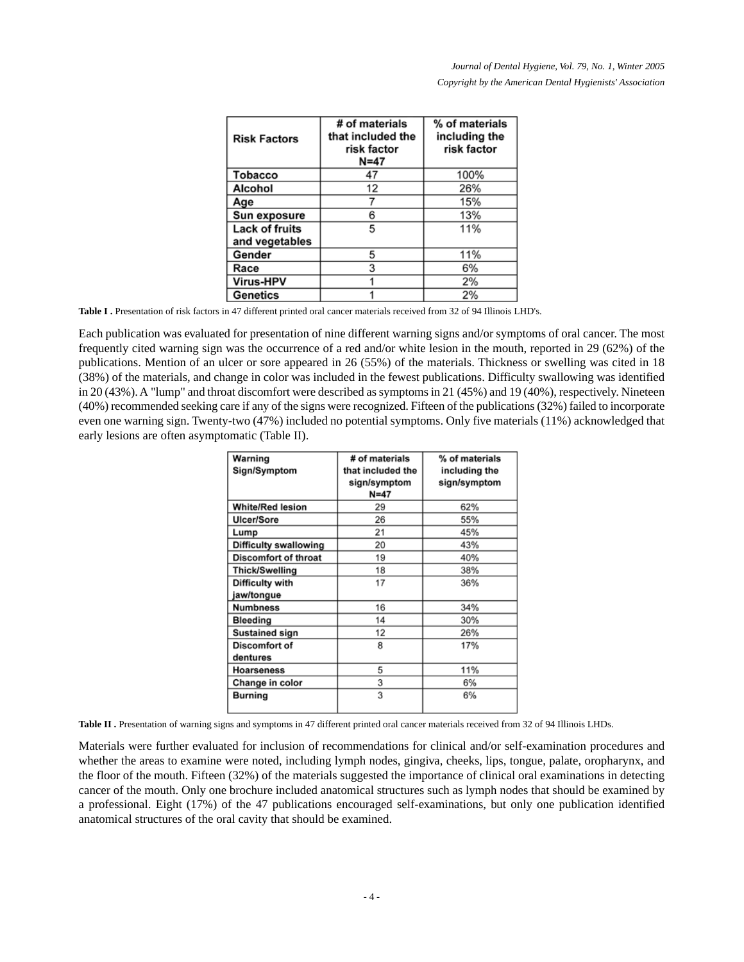| <b>Risk Factors</b>              | # of materials<br>that included the<br>risk factor<br>$N=47$ | % of materials<br>including the<br>risk factor |
|----------------------------------|--------------------------------------------------------------|------------------------------------------------|
| <b>Tobacco</b>                   | 47                                                           | 100%                                           |
| <b>Alcohol</b>                   | 12                                                           | 26%                                            |
| Age                              |                                                              | 15%                                            |
| Sun exposure                     | 6                                                            | 13%                                            |
| Lack of fruits<br>and vegetables | 5                                                            | 11%                                            |
| Gender                           | 5                                                            | 11%                                            |
| Race                             | 3                                                            | 6%                                             |
| Virus-HPV                        |                                                              | 2%                                             |
| Genetics                         |                                                              | 2%                                             |

Table I . Presentation of risk factors in 47 different printed oral cancer materials received from 32 of 94 Illinois LHD's.

Each publication was evaluated for presentation of nine different warning signs and/or symptoms of oral cancer. The most frequently cited warning sign was the occurrence of a red and/or white lesion in the mouth, reported in 29 (62%) of the publications. Mention of an ulcer or sore appeared in 26 (55%) of the materials. Thickness or swelling was cited in 18 (38%) of the materials, and change in color was included in the fewest publications. Difficulty swallowing was identified in 20 (43%). A "lump" and throat discomfort were described as symptoms in 21 (45%) and 19 (40%), respectively. Nineteen (40%) recommended seeking care if any of the signs were recognized. Fifteen of the publications (32%) failed to incorporate even one warning sign. Twenty-two (47%) included no potential symptoms. Only five materials (11%) acknowledged that early lesions are often asymptomatic (Table II).

| Warning<br>Sign/Symptom     | # of materials<br>that included the<br>sign/symptom<br>$N=47$ | % of materials<br>including the<br>sign/symptom |
|-----------------------------|---------------------------------------------------------------|-------------------------------------------------|
| <b>White/Red lesion</b>     | 29                                                            | 62%                                             |
| Ulcer/Sore                  | 26                                                            | 55%                                             |
| Lump                        | 21                                                            | 45%                                             |
| Difficulty swallowing       | 20                                                            | 43%                                             |
| <b>Discomfort of throat</b> | 19                                                            | 40%                                             |
| Thick/Swelling              | 18                                                            | 38%                                             |
| Difficulty with             | 17                                                            | 36%                                             |
| jaw/tongue                  |                                                               |                                                 |
| <b>Numbness</b>             | 16                                                            | 34%                                             |
| <b>Bleeding</b>             | 14                                                            | 30%                                             |
| Sustained sign              | 12                                                            | 26%                                             |
| Discomfort of               | 8                                                             | 17%                                             |
| dentures                    |                                                               |                                                 |
| <b>Hoarseness</b>           | 5                                                             | 11%                                             |
| Change in color             | 3                                                             | 6%                                              |
| <b>Burning</b>              | 3                                                             | 6%                                              |

Table II . Presentation of warning signs and symptoms in 47 different printed oral cancer materials received from 32 of 94 Illinois LHDs.

Materials were further evaluated for inclusion of recommendations for clinical and/or self-examination procedures and whether the areas to examine were noted, including lymph nodes, gingiva, cheeks, lips, tongue, palate, oropharynx, and the floor of the mouth. Fifteen (32%) of the materials suggested the importance of clinical oral examinations in detecting cancer of the mouth. Only one brochure included anatomical structures such as lymph nodes that should be examined by a professional. Eight (17%) of the 47 publications encouraged self-examinations, but only one publication identified anatomical structures of the oral cavity that should be examined.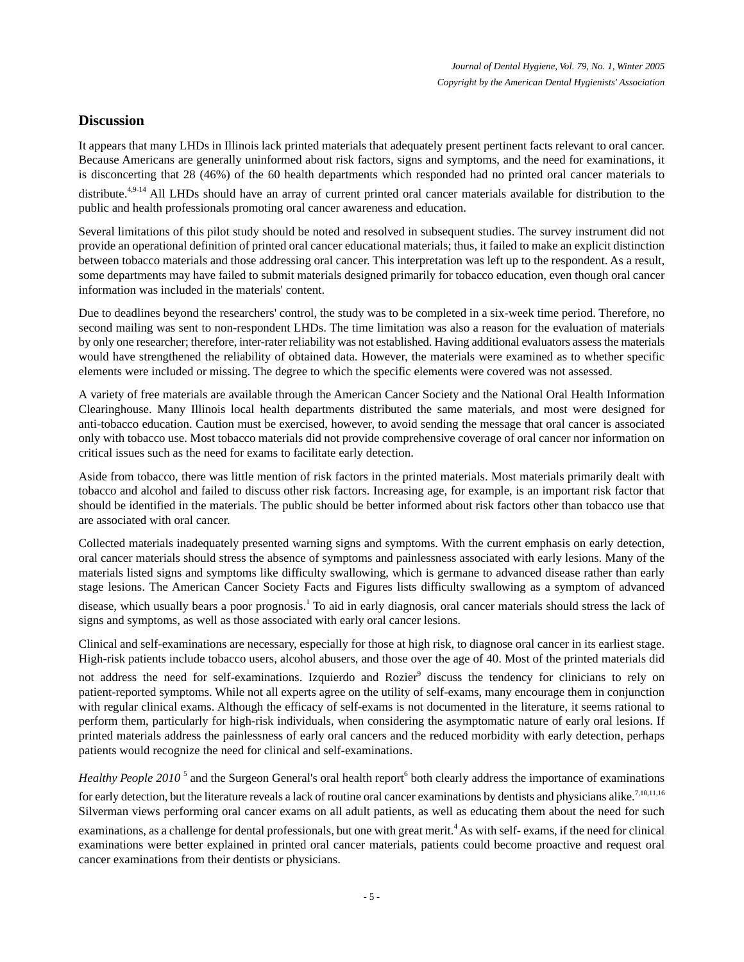## **Discussion**

It appears that many LHDs in Illinois lack printed materials that adequately present pertinent facts relevant to oral cancer. Because Americans are generally uninformed about risk factors, signs and symptoms, and the need for examinations, it is disconcerting that 28 (46%) of the 60 health departments which responded had no printed oral cancer materials to

distribute.<sup>4,9-14</sup> All LHDs should have an array of current printed oral cancer materials available for distribution to the public and health professionals promoting oral cancer awareness and education.

Several limitations of this pilot study should be noted and resolved in subsequent studies. The survey instrument did not provide an operational definition of printed oral cancer educational materials; thus, it failed to make an explicit distinction between tobacco materials and those addressing oral cancer. This interpretation was left up to the respondent. As a result, some departments may have failed to submit materials designed primarily for tobacco education, even though oral cancer information was included in the materials' content.

Due to deadlines beyond the researchers' control, the study was to be completed in a six-week time period. Therefore, no second mailing was sent to non-respondent LHDs. The time limitation was also a reason for the evaluation of materials by only one researcher; therefore, inter-rater reliability was not established. Having additional evaluators assess the materials would have strengthened the reliability of obtained data. However, the materials were examined as to whether specific elements were included or missing. The degree to which the specific elements were covered was not assessed.

A variety of free materials are available through the American Cancer Society and the National Oral Health Information Clearinghouse. Many Illinois local health departments distributed the same materials, and most were designed for anti-tobacco education. Caution must be exercised, however, to avoid sending the message that oral cancer is associated only with tobacco use. Most tobacco materials did not provide comprehensive coverage of oral cancer nor information on critical issues such as the need for exams to facilitate early detection.

Aside from tobacco, there was little mention of risk factors in the printed materials. Most materials primarily dealt with tobacco and alcohol and failed to discuss other risk factors. Increasing age, for example, is an important risk factor that should be identified in the materials. The public should be better informed about risk factors other than tobacco use that are associated with oral cancer.

Collected materials inadequately presented warning signs and symptoms. With the current emphasis on early detection, oral cancer materials should stress the absence of symptoms and painlessness associated with early lesions. Many of the materials listed signs and symptoms like difficulty swallowing, which is germane to advanced disease rather than early stage lesions. The American Cancer Society Facts and Figures lists difficulty swallowing as a symptom of advanced

disease, which usually bears a poor prognosis.<sup>1</sup> To aid in early diagnosis, oral cancer materials should stress the lack of signs and symptoms, as well as those associated with early oral cancer lesions.

Clinical and self-examinations are necessary, especially for those at high risk, to diagnose oral cancer in its earliest stage. High-risk patients include tobacco users, alcohol abusers, and those over the age of 40. Most of the printed materials did

not address the need for self-examinations. Izquierdo and Rozier<sup>9</sup> discuss the tendency for clinicians to rely on patient-reported symptoms. While not all experts agree on the utility of self-exams, many encourage them in conjunction with regular clinical exams. Although the efficacy of self-exams is not documented in the literature, it seems rational to perform them, particularly for high-risk individuals, when considering the asymptomatic nature of early oral lesions. If printed materials address the painlessness of early oral cancers and the reduced morbidity with early detection, perhaps patients would recognize the need for clinical and self-examinations.

*Healthy People 2010*<sup>5</sup> and the Surgeon General's oral health report<sup>6</sup> both clearly address the importance of examinations for early detection, but the literature reveals a lack of routine oral cancer examinations by dentists and physicians alike.<sup>7,10,11,16</sup> Silverman views performing oral cancer exams on all adult patients, as well as educating them about the need for such

examinations, as a challenge for dental professionals, but one with great merit.<sup>4</sup> As with self- exams, if the need for clinical examinations were better explained in printed oral cancer materials, patients could become proactive and request oral cancer examinations from their dentists or physicians.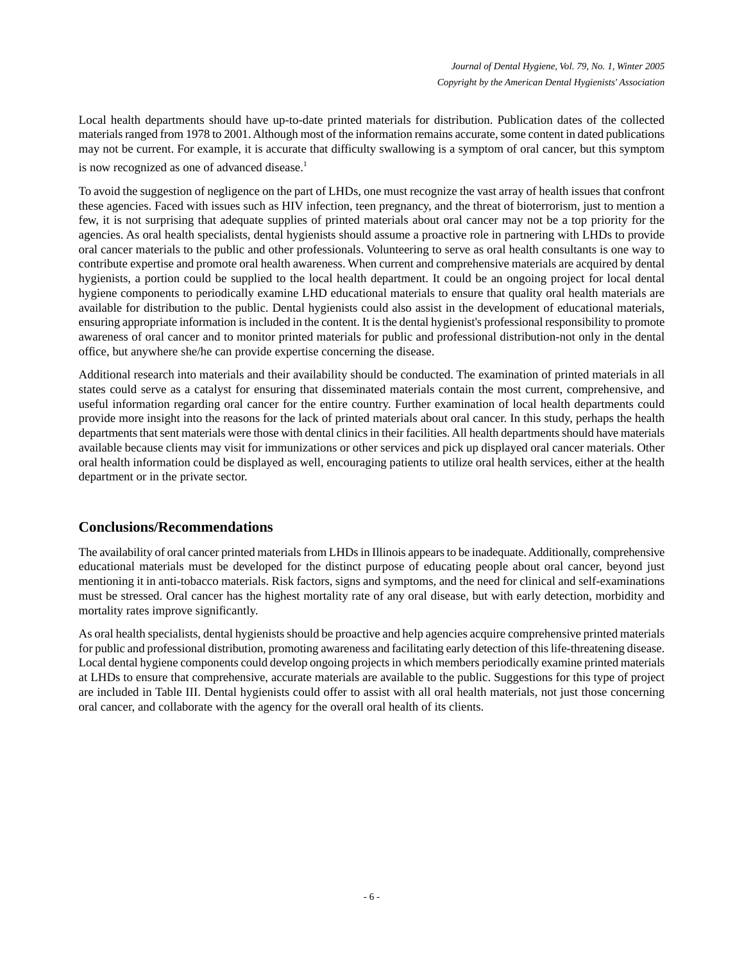Local health departments should have up-to-date printed materials for distribution. Publication dates of the collected materials ranged from 1978 to 2001. Although most of the information remains accurate, some content in dated publications may not be current. For example, it is accurate that difficulty swallowing is a symptom of oral cancer, but this symptom is now recognized as one of advanced disease.<sup>1</sup>

To avoid the suggestion of negligence on the part of LHDs, one must recognize the vast array of health issues that confront these agencies. Faced with issues such as HIV infection, teen pregnancy, and the threat of bioterrorism, just to mention a few, it is not surprising that adequate supplies of printed materials about oral cancer may not be a top priority for the agencies. As oral health specialists, dental hygienists should assume a proactive role in partnering with LHDs to provide oral cancer materials to the public and other professionals. Volunteering to serve as oral health consultants is one way to contribute expertise and promote oral health awareness. When current and comprehensive materials are acquired by dental hygienists, a portion could be supplied to the local health department. It could be an ongoing project for local dental hygiene components to periodically examine LHD educational materials to ensure that quality oral health materials are available for distribution to the public. Dental hygienists could also assist in the development of educational materials, ensuring appropriate information is included in the content. It is the dental hygienist's professional responsibility to promote awareness of oral cancer and to monitor printed materials for public and professional distribution-not only in the dental office, but anywhere she/he can provide expertise concerning the disease.

Additional research into materials and their availability should be conducted. The examination of printed materials in all states could serve as a catalyst for ensuring that disseminated materials contain the most current, comprehensive, and useful information regarding oral cancer for the entire country. Further examination of local health departments could provide more insight into the reasons for the lack of printed materials about oral cancer. In this study, perhaps the health departments that sent materials were those with dental clinics in their facilities. All health departments should have materials available because clients may visit for immunizations or other services and pick up displayed oral cancer materials. Other oral health information could be displayed as well, encouraging patients to utilize oral health services, either at the health department or in the private sector.

# **Conclusions/Recommendations**

The availability of oral cancer printed materials from LHDs in Illinois appears to be inadequate. Additionally, comprehensive educational materials must be developed for the distinct purpose of educating people about oral cancer, beyond just mentioning it in anti-tobacco materials. Risk factors, signs and symptoms, and the need for clinical and self-examinations must be stressed. Oral cancer has the highest mortality rate of any oral disease, but with early detection, morbidity and mortality rates improve significantly.

As oral health specialists, dental hygienists should be proactive and help agencies acquire comprehensive printed materials for public and professional distribution, promoting awareness and facilitating early detection of this life-threatening disease. Local dental hygiene components could develop ongoing projects in which members periodically examine printed materials at LHDs to ensure that comprehensive, accurate materials are available to the public. Suggestions for this type of project are included in Table III. Dental hygienists could offer to assist with all oral health materials, not just those concerning oral cancer, and collaborate with the agency for the overall oral health of its clients.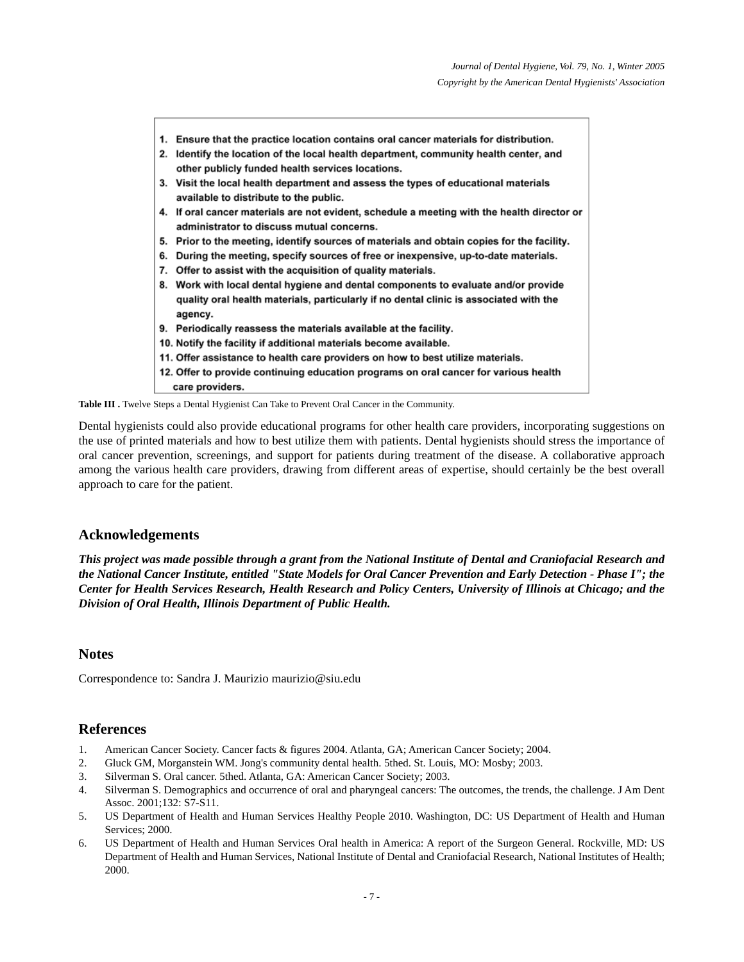- 1. Ensure that the practice location contains oral cancer materials for distribution.
- 2. Identify the location of the local health department, community health center, and other publicly funded health services locations.
- 3. Visit the local health department and assess the types of educational materials available to distribute to the public.
- 4. If oral cancer materials are not evident, schedule a meeting with the health director or administrator to discuss mutual concerns.
- 5. Prior to the meeting, identify sources of materials and obtain copies for the facility.
- 6. During the meeting, specify sources of free or inexpensive, up-to-date materials.
- 7. Offer to assist with the acquisition of quality materials.
- 8. Work with local dental hygiene and dental components to evaluate and/or provide quality oral health materials, particularly if no dental clinic is associated with the agency.
- 9. Periodically reassess the materials available at the facility.
- 10. Notify the facility if additional materials become available.
- 11. Offer assistance to health care providers on how to best utilize materials.
- 12. Offer to provide continuing education programs on oral cancer for various health care providers.

Table III . Twelve Steps a Dental Hygienist Can Take to Prevent Oral Cancer in the Community.

Dental hygienists could also provide educational programs for other health care providers, incorporating suggestions on the use of printed materials and how to best utilize them with patients. Dental hygienists should stress the importance of oral cancer prevention, screenings, and support for patients during treatment of the disease. A collaborative approach among the various health care providers, drawing from different areas of expertise, should certainly be the best overall approach to care for the patient.

#### **Acknowledgements**

*This project was made possible through a grant from the National Institute of Dental and Craniofacial Research and the National Cancer Institute, entitled "State Models for Oral Cancer Prevention and Early Detection - Phase I"; the Center for Health Services Research, Health Research and Policy Centers, University of Illinois at Chicago; and the Division of Oral Health, Illinois Department of Public Health.*

#### **Notes**

Correspondence to: Sandra J. Maurizio maurizio@siu.edu

#### **References**

- 1. American Cancer Society. Cancer facts & figures 2004. Atlanta, GA; American Cancer Society; 2004.
- 2. Gluck GM, Morganstein WM. Jong's community dental health. 5thed. St. Louis, MO: Mosby; 2003.
- 3. Silverman S. Oral cancer. 5thed. Atlanta, GA: American Cancer Society; 2003.
- 4. Silverman S. Demographics and occurrence of oral and pharyngeal cancers: The outcomes, the trends, the challenge. J Am Dent Assoc. 2001;132: S7-S11.
- 5. US Department of Health and Human Services Healthy People 2010. Washington, DC: US Department of Health and Human Services; 2000.
- 6. US Department of Health and Human Services Oral health in America: A report of the Surgeon General. Rockville, MD: US Department of Health and Human Services, National Institute of Dental and Craniofacial Research, National Institutes of Health; 2000.